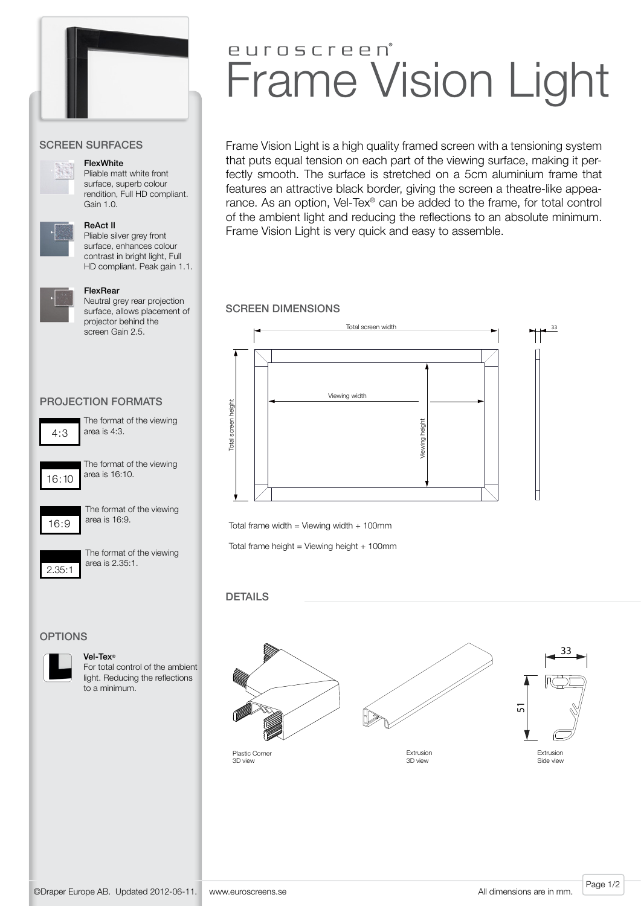

#### Screen Surfaces



#### **FlexWhite**

Pliable matt white front surface, superb colour rendition, Full HD compliant. Gain 1.0.



## ReAct II

Pliable silver grey front surface, enhances colour contrast in bright light, Full HD compliant. Peak gain 1.1.

#### FlexRear

Neutral grey rear projection surface, allows placement of projector behind the screen Gain 2.5.

#### projection formats



The format of the viewing area is 4:3.



The format of the viewing area is 16:10.



The format of the viewing area is 16:9.

2.35:1

The format of the viewing area is 2.35:1.

#### **OPTIONS**



Vel-Tex® For total control of the ambient light. Reducing the reflections to a minimum.

# euroscreen Frame Vision Light

Frame Vision Light is a high quality framed screen with a tensioning system that puts equal tension on each part of the viewing surface, making it perfectly smooth. The surface is stretched on a 5cm aluminium frame that features an attractive black border, giving the screen a theatre-like appearance. As an option, Vel-Tex® can be added to the frame, for total control of the ambient light and reducing the reflections to an absolute minimum. Frame Vision Light is very quick and easy to assemble.

#### screen dimensions



Total frame width = Viewing width  $+$  100mm

Total frame height = Viewing height  $+$  100mm

## DETAILS



Page 1/2 ©Draper Europe AB. Updated 2012-06-11. www.euroscreens.se

All dimensions are in mm.